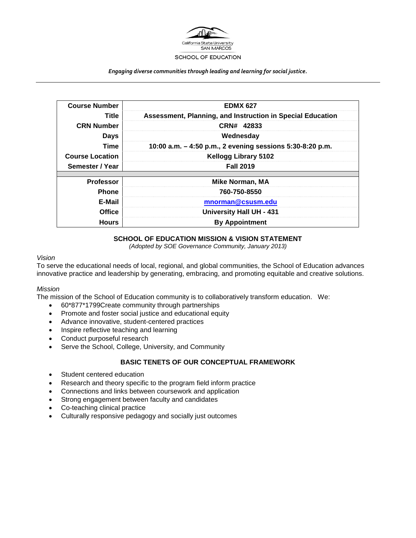

#### *Engaging diverse communities through leading and learning for social justice.*

| <b>Course Number</b>   | <b>EDMX 627</b>                                            |
|------------------------|------------------------------------------------------------|
| Title                  | Assessment, Planning, and Instruction in Special Education |
| <b>CRN Number</b>      | CRN# 42833                                                 |
| <b>Days</b>            | Wednesday                                                  |
| Time                   | 10:00 a.m. - 4:50 p.m., 2 evening sessions 5:30-8:20 p.m.  |
| <b>Course Location</b> | <b>Kellogg Library 5102</b>                                |
| Semester / Year        | <b>Fall 2019</b>                                           |
|                        |                                                            |
| <b>Professor</b>       | <b>Mike Norman, MA</b>                                     |
| <b>Phone</b>           | 760-750-8550                                               |
| E-Mail                 | mnorman@csusm.edu                                          |
| <b>Office</b>          | <b>University Hall UH - 431</b>                            |
| <b>Hours</b>           | <b>By Appointment</b>                                      |

#### **SCHOOL OF EDUCATION MISSION & VISION STATEMENT**

*(Adopted by SOE Governance Community, January 2013)*

#### *Vision*

To serve the educational needs of local, regional, and global communities, the School of Education advances innovative practice and leadership by generating, embracing, and promoting equitable and creative solutions.

#### *Mission*

The mission of the School of Education community is to collaboratively transform education. We:

- 60\*877\*1799Create community through partnerships
- Promote and foster social justice and educational equity
- Advance innovative, student-centered practices
- Inspire reflective teaching and learning
- Conduct purposeful research
- Serve the School, College, University, and Community

#### **BASIC TENETS OF OUR CONCEPTUAL FRAMEWORK**

- Student centered education
- Research and theory specific to the program field inform practice
- Connections and links between coursework and application
- Strong engagement between faculty and candidates
- Co-teaching clinical practice
- Culturally responsive pedagogy and socially just outcomes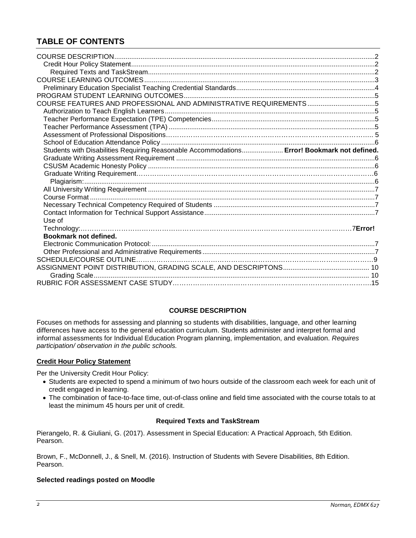# **TABLE OF CONTENTS**

| COURSE FEATURES AND PROFESSIONAL AND ADMINISTRATIVE REQUIREMENTS5                           |  |
|---------------------------------------------------------------------------------------------|--|
|                                                                                             |  |
|                                                                                             |  |
|                                                                                             |  |
|                                                                                             |  |
|                                                                                             |  |
| Students with Disabilities Requiring Reasonable Accommodations Error! Bookmark not defined. |  |
|                                                                                             |  |
|                                                                                             |  |
|                                                                                             |  |
|                                                                                             |  |
|                                                                                             |  |
|                                                                                             |  |
|                                                                                             |  |
|                                                                                             |  |
| Use of                                                                                      |  |
|                                                                                             |  |
| Bookmark not defined.                                                                       |  |
|                                                                                             |  |
|                                                                                             |  |
|                                                                                             |  |
|                                                                                             |  |
|                                                                                             |  |
|                                                                                             |  |

#### **COURSE DESCRIPTION**

Focuses on methods for assessing and planning so students with disabilities, language, and other learning differences have access to the general education curriculum. Students administer and interpret formal and informal assessments for Individual Education Program planning, implementation, and evaluation. *Requires participation/ observation in the public schools.*

#### **Credit Hour Policy Statement**

Per the University Credit Hour Policy:

- Students are expected to spend a minimum of two hours outside of the classroom each week for each unit of credit engaged in learning.
- The combination of face-to-face time, out-of-class online and field time associated with the course totals to at least the minimum 45 hours per unit of credit.

#### **Required Texts and TaskStream**

Pierangelo, R. & Giuliani, G. (2017). Assessment in Special Education: A Practical Approach, 5th Edition. Pearson.

Brown, F., McDonnell, J., & Snell, M. (2016). Instruction of Students with Severe Disabilities, 8th Edition. Pearson.

#### **Selected readings posted on Moodle**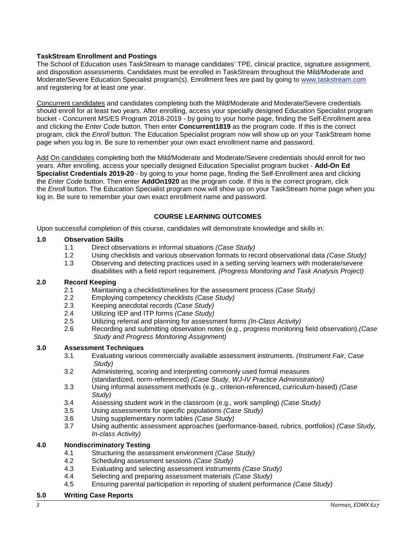### **TaskStream Enrollment and Postings**

The School of Education uses TaskStream to manage candidates' TPE, clinical practice, signature assignment, and disposition assessments. Candidates must be enrolled in TaskStream throughout the Mild/Moderate and Moderate/Severe Education Specialist program(s). Enrollment fees are paid by going to [www.taskstream.com](http://www.taskstrem.com/) and registering for at least one year.

Concurrent candidates and candidates completing both the Mild/Moderate and Moderate/Severe credentials should enroll for at least two years. After enrolling, access your specially designed Education Specialist program bucket - Concurrent MS/ES Program 2018-2019 - by going to your home page, finding the Self-Enrollment area and clicking the *Enter Code* button. Then enter **Concurrent1819** as the program code. If this is the correct program, click the *Enroll* button. The Education Specialist program now will show up on your TaskStream home page when you log in. Be sure to remember your own exact enrollment name and password.

Add On candidates completing both the Mild/Moderate and Moderate/Severe credentials should enroll for two years. After enrolling, access your specially designed Education Specialist program bucket - **Add-On Ed Specialist Credentials 2019-20** - by going to your home page, finding the Self-Enrollment area and clicking the *Enter Code* button. Then enter **AddOn1920** as the program code. If this is the correct program, click the *Enroll* button. The Education Specialist program now will show up on your TaskStream home page when you log in. Be sure to remember your own exact enrollment name and password.

#### **COURSE LEARNING OUTCOMES**

Upon successful completion of this course, candidates will demonstrate knowledge and skills in:

#### **1.0 Observation Skills**

- 1.1 Direct observations in informal situations *(Case Study)*
- 1.2 Using checklists and various observation formats to record observational data *(Case Study)*
- Observing and detecting practices used in a setting serving learners with moderate/severe disabilities with a field report requirement. *(Progress Monitoring and Task Analysis Project)*

#### **2.0 Record Keeping**

- 2.1 Maintaining a checklist/timelines for the assessment process *(Case Study)*
- 2.2 Employing competency checklists *(Case Study)*
- 2.3 Keeping anecdotal records *(Case Study)*
- 2.4 Utilizing IEP and ITP forms *(Case Study)*
- 2.5 Utilizing referral and planning for assessment forms *(In-Class Activity)*
- 2.6 Recording and submitting observation notes (e.g., progress monitoring field observation).*(Case Study and Progress Monitoring Assignment)*

# **3.0 Assessment Techniques**

- 3.1 Evaluating various commercially available assessment instruments. *(Instrument Fair, Case Study)*
- 3.2 Administering, scoring and interpreting commonly used formal measures (standardized, norm-referenced) *(Case Study, WJ-IV Practice Administration)*
- 3.3 Using informal assessment methods (e.g., criterion-referenced, curriculum-based) *(Case Study)*
- 3.4 Assessing student work in the classroom (e.g., work sampling) *(Case Study)*
- 3.5 Using assessments for specific populations *(Case Study)*
- 3.6 Using supplementary norm tables *(Case Study)*
- 3.7 Using authentic assessment approaches (performance-based, rubrics, portfolios) *(Case Study, In-class Activity)*

#### **4.0 Nondiscriminatory Testing**

- 4.1 Structuring the assessment environment *(Case Study)*
- 4.2 Scheduling assessment sessions *(Case Study)*
- 4.3 Evaluating and selecting assessment instruments *(Case Study)*
- 4.4 Selecting and preparing assessment materials *(Case Study)*
- 4.5 Ensuring parental participation in reporting of student performance *(Case Study)*

#### **5.0 Writing Case Reports**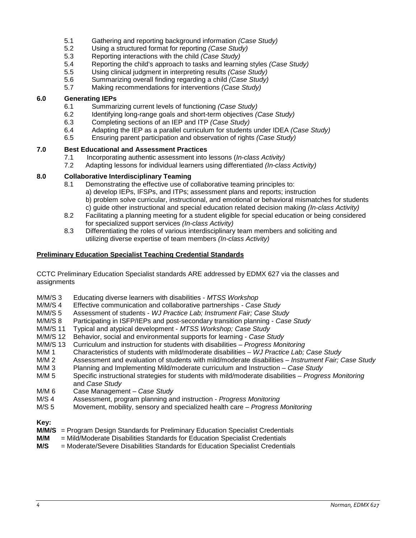- 5.1 Gathering and reporting background information *(Case Study)*
- 5.2 Using a structured format for reporting *(Case Study)*
- 5.3 Reporting interactions with the child *(Case Study)*
- 5.4 Reporting the child's approach to tasks and learning styles *(Case Study)*
- 5.5 Using clinical judgment in interpreting results *(Case Study)*
- 5.6 Summarizing overall finding regarding a child *(Case Study)*
- 5.7 Making recommendations for interventions *(Case Study)*

#### **6.0 Generating IEPs**

- 6.1 Summarizing current levels of functioning *(Case Study)*
- 6.2 Identifying long-range goals and short-term objectives *(Case Study)*
- 6.3 Completing sections of an IEP and ITP *(Case Study)*
- 6.4 Adapting the IEP as a parallel curriculum for students under IDEA *(Case Study)*
- 6.5 Ensuring parent participation and observation of rights *(Case Study)*

# **7.0 Best Educational and Assessment Practices**

- 7.1 Incorporating authentic assessment into lessons (*In-class Activity)*
- 7.2 Adapting lessons for individual learners using differentiated *(In-class Activity)*

#### **8.0 Collaborative Interdisciplinary Teaming**

- 8.1 Demonstrating the effective use of collaborative teaming principles to: a) develop IEPs, IFSPs, and ITPs; assessment plans and reports; instruction b) problem solve curricular, instructional, and emotional or behavioral mismatches for students c) guide other instructional and special education related decision making *(In-class Activity)*
- 8.2 Facilitating a planning meeting for a student eligible for special education or being considered for specialized support services *(In-class Activity)*
- 8.3 Differentiating the roles of various interdisciplinary team members and soliciting and utilizing diverse expertise of team members *(In-class Activity)*

#### **Preliminary Education Specialist Teaching Credential Standards**

CCTC Preliminary Education Specialist standards ARE addressed by EDMX 627 via the classes and assignments

- M/M/S 3 Educating diverse learners with disabilities *MTSS Workshop*
- M/M/S 4 Effective communication and collaborative partnerships *Case Study*
- Assessment of students WJ Practice Lab; Instrument Fair; Case Study
- M/M/S 8 Participating in ISFP/IEPs and post-secondary transition planning *Case Study*
- M/M/S 11 Typical and atypical development *MTSS Workshop; Case Study*
- Behavior, social and environmental supports for learning Case Study
- M/M/S 13 Curriculum and instruction for students with disabilities *Progress Monitoring*
- M/M 1 Characteristics of students with mild/moderate disabilities *WJ Practice Lab; Case Study*
- Assessment and evaluation of students with mild/moderate disabilities *Instrument Fair; Case Study*
- M/M 3 Planning and Implementing Mild/moderate curriculum and Instruction *Case Study*
- Specific instructional strategies for students with mild/moderate disabilities *Progress Monitoring* and *Case Study*
- M/M 6 Case Management *Case Study*
- M/S 4 Assessment, program planning and instruction *Progress Monitoring*
- Movement, mobility, sensory and specialized health care *Progress Monitoring*

# **Key:**

- **M/M/S** = Program Design Standards for Preliminary Education Specialist Credentials
- **M/M** = Mild/Moderate Disabilities Standards for Education Specialist Credentials
- $=$  Moderate/Severe Disabilities Standards for Education Specialist Credentials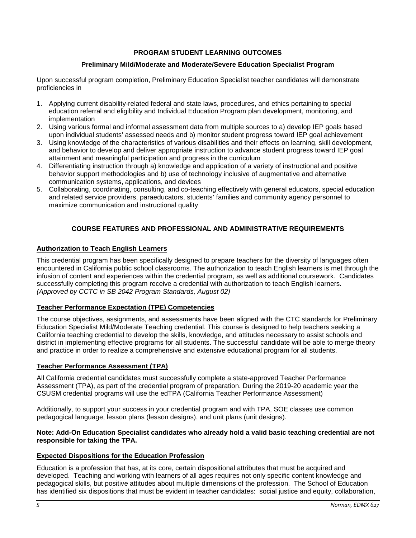# **PROGRAM STUDENT LEARNING OUTCOMES**

#### **Preliminary Mild/Moderate and Moderate/Severe Education Specialist Program**

Upon successful program completion, Preliminary Education Specialist teacher candidates will demonstrate proficiencies in

- 1. Applying current disability-related federal and state laws, procedures, and ethics pertaining to special education referral and eligibility and Individual Education Program plan development, monitoring, and implementation
- 2. Using various formal and informal assessment data from multiple sources to a) develop IEP goals based upon individual students' assessed needs and b) monitor student progress toward IEP goal achievement
- 3. Using knowledge of the characteristics of various disabilities and their effects on learning, skill development, and behavior to develop and deliver appropriate instruction to advance student progress toward IEP goal attainment and meaningful participation and progress in the curriculum
- 4. Differentiating instruction through a) knowledge and application of a variety of instructional and positive behavior support methodologies and b) use of technology inclusive of augmentative and alternative communication systems, applications, and devices
- 5. Collaborating, coordinating, consulting, and co-teaching effectively with general educators, special education and related service providers, paraeducators, students' families and community agency personnel to maximize communication and instructional quality

#### **COURSE FEATURES AND PROFESSIONAL AND ADMINISTRATIVE REQUIREMENTS**

#### **Authorization to Teach English Learners**

This credential program has been specifically designed to prepare teachers for the diversity of languages often encountered in California public school classrooms. The authorization to teach English learners is met through the infusion of content and experiences within the credential program, as well as additional coursework. Candidates successfully completing this program receive a credential with authorization to teach English learners. *(Approved by CCTC in SB 2042 Program Standards, August 02)*

#### **Teacher Performance Expectation (TPE) Competencies**

The course objectives, assignments, and assessments have been aligned with the CTC standards for Preliminary Education Specialist Mild/Moderate Teaching credential. This course is designed to help teachers seeking a California teaching credential to develop the skills, knowledge, and attitudes necessary to assist schools and district in implementing effective programs for all students. The successful candidate will be able to merge theory and practice in order to realize a comprehensive and extensive educational program for all students.

#### **Teacher Performance Assessment (TPA)**

All California credential candidates must successfully complete a state-approved Teacher Performance Assessment (TPA), as part of the credential program of preparation. During the 2019-20 academic year the CSUSM credential programs will use the edTPA (California Teacher Performance Assessment)

Additionally, to support your success in your credential program and with TPA, SOE classes use common pedagogical language, lesson plans (lesson designs), and unit plans (unit designs).

#### **Note: Add-On Education Specialist candidates who already hold a valid basic teaching credential are not responsible for taking the TPA.**

#### **Expected Dispositions for the Education Profession**

Education is a profession that has, at its core, certain dispositional attributes that must be acquired and developed. Teaching and working with learners of all ages requires not only specific content knowledge and pedagogical skills, but positive attitudes about multiple dimensions of the profession. The School of Education has identified six dispositions that must be evident in teacher candidates: social justice and equity, collaboration,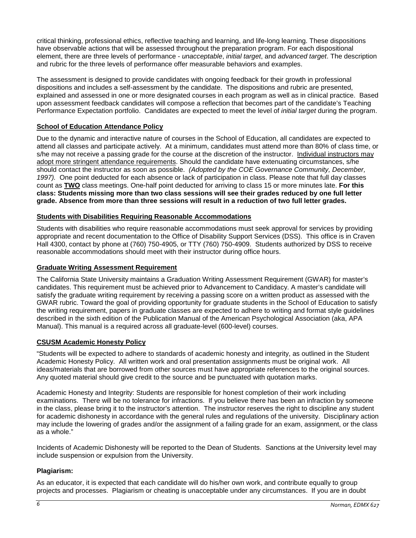critical thinking, professional ethics, reflective teaching and learning, and life-long learning. These dispositions have observable actions that will be assessed throughout the preparation program. For each dispositional element, there are three levels of performance - *unacceptable*, *initial target*, and *advanced target*. The description and rubric for the three levels of performance offer measurable behaviors and examples.

The assessment is designed to provide candidates with ongoing feedback for their growth in professional dispositions and includes a self-assessment by the candidate. The dispositions and rubric are presented, explained and assessed in one or more designated courses in each program as well as in clinical practice. Based upon assessment feedback candidates will compose a reflection that becomes part of the candidate's Teaching Performance Expectation portfolio. Candidates are expected to meet the level of *initial target* during the program.

# **School of Education Attendance Policy**

Due to the dynamic and interactive nature of courses in the School of Education, all candidates are expected to attend all classes and participate actively. At a minimum, candidates must attend more than 80% of class time, or s/he may not receive a passing grade for the course at the discretion of the instructor. Individual instructors may adopt more stringent attendance requirements. Should the candidate have extenuating circumstances, s/he should contact the instructor as soon as possible. *(Adopted by the COE Governance Community, December, 1997).* One point deducted for each absence or lack of participation in class. Please note that full day classes count as **TWO** class meetings. One-half point deducted for arriving to class 15 or more minutes late. **For this class: Students missing more than two class sessions will see their grades reduced by one full letter grade. Absence from more than three sessions will result in a reduction of two full letter grades.** 

# **Students with Disabilities Requiring Reasonable Accommodations**

Students with disabilities who require reasonable accommodations must seek approval for services by providing appropriate and recent documentation to the Office of Disability Support Services (DSS). This office is in Craven Hall 4300, contact by phone at (760) 750-4905, or TTY (760) 750-4909. Students authorized by DSS to receive reasonable accommodations should meet with their instructor during office hours.

#### **Graduate Writing Assessment Requirement**

The California State University maintains a Graduation Writing Assessment Requirement (GWAR) for master's candidates. This requirement must be achieved prior to Advancement to Candidacy. A master's candidate will satisfy the graduate writing requirement by receiving a passing score on a written product as assessed with the GWAR rubric. Toward the goal of providing opportunity for graduate students in the School of Education to satisfy the writing requirement, papers in graduate classes are expected to adhere to writing and format style guidelines described in the sixth edition of the Publication Manual of the American Psychological Association (aka, APA Manual). This manual is a required across all graduate-level (600-level) courses.

#### **CSUSM Academic Honesty Policy**

"Students will be expected to adhere to standards of academic honesty and integrity, as outlined in the Student Academic Honesty Policy. All written work and oral presentation assignments must be original work. All ideas/materials that are borrowed from other sources must have appropriate references to the original sources. Any quoted material should give credit to the source and be punctuated with quotation marks.

Academic Honesty and Integrity: Students are responsible for honest completion of their work including examinations. There will be no tolerance for infractions. If you believe there has been an infraction by someone in the class, please bring it to the instructor's attention. The instructor reserves the right to discipline any student for academic dishonesty in accordance with the general rules and regulations of the university. Disciplinary action may include the lowering of grades and/or the assignment of a failing grade for an exam, assignment, or the class as a whole."

Incidents of Academic Dishonesty will be reported to the Dean of Students. Sanctions at the University level may include suspension or expulsion from the University.

# **Plagiarism:**

As an educator, it is expected that each candidate will do his/her own work, and contribute equally to group projects and processes. Plagiarism or cheating is unacceptable under any circumstances. If you are in doubt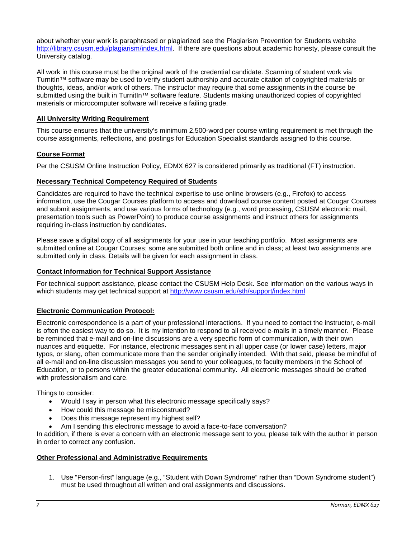about whether your work is paraphrased or plagiarized see the Plagiarism Prevention for Students website [http://library.csusm.edu/plagiarism/index.html.](http://library.csusm.edu/plagiarism/index.html) If there are questions about academic honesty, please consult the University catalog.

All work in this course must be the original work of the credential candidate. Scanning of student work via TurnitIn™ software may be used to verify student authorship and accurate citation of copyrighted materials or thoughts, ideas, and/or work of others. The instructor may require that some assignments in the course be submitted using the built in TurnitIn™ software feature. Students making unauthorized copies of copyrighted materials or microcomputer software will receive a failing grade.

#### **All University Writing Requirement**

This course ensures that the university's minimum 2,500-word per course writing requirement is met through the course assignments, reflections, and postings for Education Specialist standards assigned to this course.

#### **Course Format**

Per the CSUSM Online Instruction Policy, EDMX 627 is considered primarily as traditional (FT) instruction.

#### **Necessary Technical Competency Required of Students**

Candidates are required to have the technical expertise to use online browsers (e.g., Firefox) to access information, use the Cougar Courses platform to access and download course content posted at Cougar Courses and submit assignments, and use various forms of technology (e.g., word processing, CSUSM electronic mail, presentation tools such as PowerPoint) to produce course assignments and instruct others for assignments requiring in-class instruction by candidates.

Please save a digital copy of all assignments for your use in your teaching portfolio. Most assignments are submitted online at Cougar Courses; some are submitted both online and in class; at least two assignments are submitted only in class. Details will be given for each assignment in class.

#### **Contact Information for Technical Support Assistance**

For technical support assistance, please contact the CSUSM Help Desk. See information on the various ways in which students may get technical support at<http://www.csusm.edu/sth/support/index.html>

#### **Electronic Communication Protocol:**

Electronic correspondence is a part of your professional interactions. If you need to contact the instructor, e-mail is often the easiest way to do so. It is my intention to respond to all received e-mails in a timely manner. Please be reminded that e-mail and on-line discussions are a very specific form of communication, with their own nuances and etiquette. For instance, electronic messages sent in all upper case (or lower case) letters, major typos, or slang, often communicate more than the sender originally intended. With that said, please be mindful of all e-mail and on-line discussion messages you send to your colleagues, to faculty members in the School of Education, or to persons within the greater educational community. All electronic messages should be crafted with professionalism and care.

Things to consider:

- Would I say in person what this electronic message specifically says?
- How could this message be misconstrued?
- Does this message represent my highest self?
- Am I sending this electronic message to avoid a face-to-face conversation?

In addition, if there is ever a concern with an electronic message sent to you, please talk with the author in person in order to correct any confusion.

#### **Other Professional and Administrative Requirements**

1. Use "Person-first" language (e.g., "Student with Down Syndrome" rather than "Down Syndrome student") must be used throughout all written and oral assignments and discussions.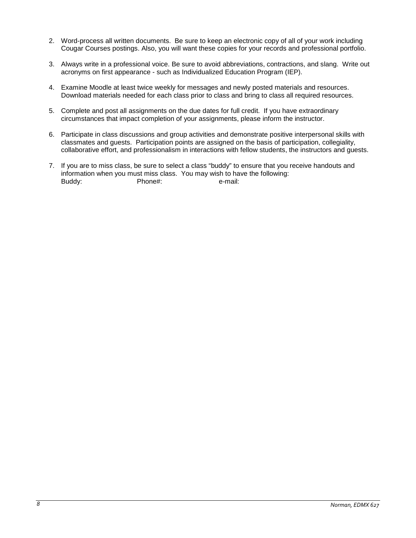- 2. Word-process all written documents. Be sure to keep an electronic copy of all of your work including Cougar Courses postings. Also, you will want these copies for your records and professional portfolio.
- 3. Always write in a professional voice. Be sure to avoid abbreviations, contractions, and slang. Write out acronyms on first appearance - such as Individualized Education Program (IEP).
- 4. Examine Moodle at least twice weekly for messages and newly posted materials and resources. Download materials needed for each class prior to class and bring to class all required resources.
- 5. Complete and post all assignments on the due dates for full credit. If you have extraordinary circumstances that impact completion of your assignments, please inform the instructor.
- 6. Participate in class discussions and group activities and demonstrate positive interpersonal skills with classmates and guests. Participation points are assigned on the basis of participation, collegiality, collaborative effort, and professionalism in interactions with fellow students, the instructors and guests.
- 7. If you are to miss class, be sure to select a class "buddy" to ensure that you receive handouts and information when you must miss class. You may wish to have the following: Buddy: Phone#: e-mail: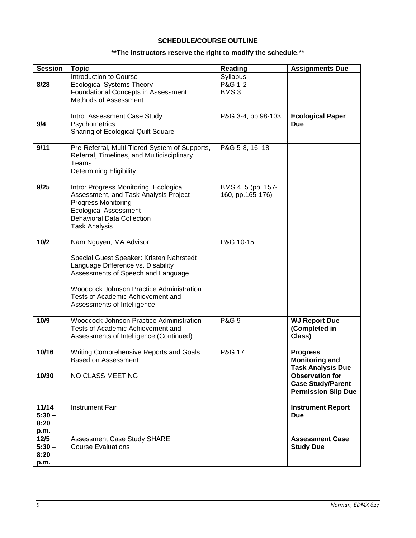# **SCHEDULE/COURSE OUTLINE**

# **\*\*The instructors reserve the right to modify the schedule**.\*\*

| <b>Session</b>                     | <b>Topic</b>                                                                                                                                                                                                                                                    | <b>Reading</b>                          | <b>Assignments Due</b>                                                           |
|------------------------------------|-----------------------------------------------------------------------------------------------------------------------------------------------------------------------------------------------------------------------------------------------------------------|-----------------------------------------|----------------------------------------------------------------------------------|
| 8/28                               | Introduction to Course<br><b>Ecological Systems Theory</b><br><b>Foundational Concepts in Assessment</b><br>Methods of Assessment                                                                                                                               | Syllabus<br>P&G 1-2<br>BMS <sub>3</sub> |                                                                                  |
| 9/4                                | Intro: Assessment Case Study<br>Psychometrics<br>Sharing of Ecological Quilt Square                                                                                                                                                                             | P&G 3-4, pp.98-103                      | <b>Ecological Paper</b><br><b>Due</b>                                            |
| 9/11                               | Pre-Referral, Multi-Tiered System of Supports,<br>Referral, Timelines, and Multidisciplinary<br>Teams<br><b>Determining Eligibility</b>                                                                                                                         | P&G 5-8, 16, 18                         |                                                                                  |
| 9/25                               | Intro: Progress Monitoring, Ecological<br>Assessment, and Task Analysis Project<br>Progress Monitoring<br><b>Ecological Assessment</b><br><b>Behavioral Data Collection</b><br><b>Task Analysis</b>                                                             | BMS 4, 5 (pp. 157-<br>160, pp.165-176)  |                                                                                  |
| $10/2$                             | Nam Nguyen, MA Advisor<br>Special Guest Speaker: Kristen Nahrstedt<br>Language Difference vs. Disability<br>Assessments of Speech and Language.<br>Woodcock Johnson Practice Administration<br>Tests of Academic Achievement and<br>Assessments of Intelligence | P&G 10-15                               |                                                                                  |
| 10/9                               | Woodcock Johnson Practice Administration<br>Tests of Academic Achievement and<br>Assessments of Intelligence (Continued)                                                                                                                                        | <b>P&amp;G 9</b>                        | <b>WJ Report Due</b><br>(Completed in<br>Class)                                  |
| 10/16                              | Writing Comprehensive Reports and Goals<br><b>Based on Assessment</b>                                                                                                                                                                                           | P&G 17                                  | <b>Progress</b><br><b>Monitoring and</b><br><b>Task Analysis Due</b>             |
| 10/30                              | NO CLASS MEETING                                                                                                                                                                                                                                                |                                         | <b>Observation for</b><br><b>Case Study/Parent</b><br><b>Permission Slip Due</b> |
| 11/14<br>$5:30 -$<br>8:20<br>p.m.  | <b>Instrument Fair</b>                                                                                                                                                                                                                                          |                                         | <b>Instrument Report</b><br><b>Due</b>                                           |
| $12/5$<br>$5:30 -$<br>8:20<br>p.m. | Assessment Case Study SHARE<br><b>Course Evaluations</b>                                                                                                                                                                                                        |                                         | <b>Assessment Case</b><br><b>Study Due</b>                                       |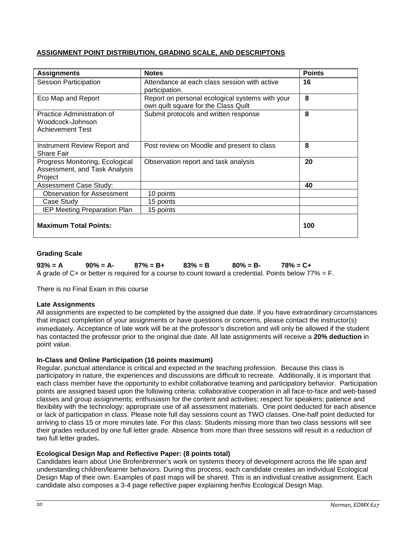# **ASSIGNMENT POINT DISTRIBUTION, GRADING SCALE, AND DESCRIPTONS**

| <b>Assignments</b>                                                          | <b>Notes</b>                                                                            | <b>Points</b> |
|-----------------------------------------------------------------------------|-----------------------------------------------------------------------------------------|---------------|
| <b>Session Participation</b>                                                | Attendance at each class session with active<br>participation.                          | 16            |
| Eco Map and Report                                                          | Report on personal ecological systems with your<br>own quilt square for the Class Quilt | 8             |
| Practice Administration of<br>Woodcock-Johnson<br><b>Achievement Test</b>   | Submit protocols and written response                                                   | 8             |
| Instrument Review Report and<br><b>Share Fair</b>                           | Post review on Moodle and present to class                                              | 8             |
| Progress Monitoring, Ecological<br>Assessment, and Task Analysis<br>Project | Observation report and task analysis                                                    | 20            |
| <b>Assessment Case Study:</b>                                               |                                                                                         | 40            |
| <b>Observation for Assessment</b>                                           | 10 points                                                                               |               |
| Case Study                                                                  | 15 points                                                                               |               |
| <b>IEP Meeting Preparation Plan</b>                                         | 15 points                                                                               |               |
| <b>Maximum Total Points:</b>                                                |                                                                                         | 100           |

#### **Grading Scale**

**93% = A 90% = A- 87% = B+ 83% = B 80% = B- 78% = C+** A grade of C+ or better is required for a course to count toward a credential. Points below  $77\% = F$ .

There is no Final Exam in this course

#### **Late Assignments**

All assignments are expected to be completed by the assigned due date. If you have extraordinary circumstances that impact completion of your assignments or have questions or concerns, please contact the instructor(s) immediately. Acceptance of late work will be at the professor's discretion and will only be allowed if the student has contacted the professor prior to the original due date. All late assignments will receive a **20% deduction** in point value.

#### **In-Class and Online Participation (16 points maximum)**

Regular, punctual attendance is critical and expected in the teaching profession. Because this class is participatory in nature, the experiences and discussions are difficult to recreate. Additionally, it is important that each class member have the opportunity to exhibit collaborative teaming and participatory behavior. Participation points are assigned based upon the following criteria: collaborative cooperation in all face-to-face and web-based classes and group assignments; enthusiasm for the content and activities; respect for speakers; patience and flexibility with the technology; appropriate use of all assessment materials. One point deducted for each absence or lack of participation in class. Please note full day sessions count as TWO classes. One-half point deducted for arriving to class 15 or more minutes late. For this class: Students missing more than two class sessions will see their grades reduced by one full letter grade. Absence from more than three sessions will result in a reduction of two full letter grades**.** 

# **Ecological Design Map and Reflective Paper: (8 points total)**

Candidates learn about Urie Brofenbrenner's work on systems theory of development across the life span and understanding children/learner behaviors. During this process, each candidate creates an individual Ecological Design Map of their own. Examples of past maps will be shared. This is an individual creative assignment. Each candidate also composes a 3-4 page reflective paper explaining her/his Ecological Design Map.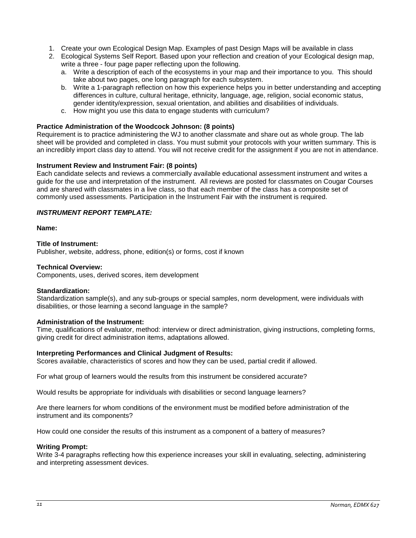- 1. Create your own Ecological Design Map. Examples of past Design Maps will be available in class
- 2. Ecological Systems Self Report. Based upon your reflection and creation of your Ecological design map, write a three - four page paper reflecting upon the following.
	- a. Write a description of each of the ecosystems in your map and their importance to you. This should take about two pages, one long paragraph for each subsystem.
	- b. Write a 1-paragraph reflection on how this experience helps you in better understanding and accepting differences in culture, cultural heritage, ethnicity, language, age, religion, social economic status, gender identity/expression, sexual orientation, and abilities and disabilities of individuals.
	- c. How might you use this data to engage students with curriculum?

#### **Practice Administration of the Woodcock Johnson: (8 points)**

Requirement is to practice administering the WJ to another classmate and share out as whole group. The lab sheet will be provided and completed in class. You must submit your protocols with your written summary. This is an incredibly import class day to attend. You will not receive credit for the assignment if you are not in attendance.

#### **Instrument Review and Instrument Fair: (8 points)**

Each candidate selects and reviews a commercially available educational assessment instrument and writes a guide for the use and interpretation of the instrument. All reviews are posted for classmates on Cougar Courses and are shared with classmates in a live class, so that each member of the class has a composite set of commonly used assessments. Participation in the Instrument Fair with the instrument is required.

### *INSTRUMENT REPORT TEMPLATE:*

#### **Name:**

#### **Title of Instrument:**

Publisher, website, address, phone, edition(s) or forms, cost if known

#### **Technical Overview:**

Components, uses, derived scores, item development

#### **Standardization:**

Standardization sample(s), and any sub-groups or special samples, norm development, were individuals with disabilities, or those learning a second language in the sample?

#### **Administration of the Instrument:**

Time, qualifications of evaluator, method: interview or direct administration, giving instructions, completing forms, giving credit for direct administration items, adaptations allowed.

#### **Interpreting Performances and Clinical Judgment of Results:**

Scores available, characteristics of scores and how they can be used, partial credit if allowed.

For what group of learners would the results from this instrument be considered accurate?

Would results be appropriate for individuals with disabilities or second language learners?

Are there learners for whom conditions of the environment must be modified before administration of the instrument and its components?

How could one consider the results of this instrument as a component of a battery of measures?

#### **Writing Prompt:**

Write 3-4 paragraphs reflecting how this experience increases your skill in evaluating, selecting, administering and interpreting assessment devices.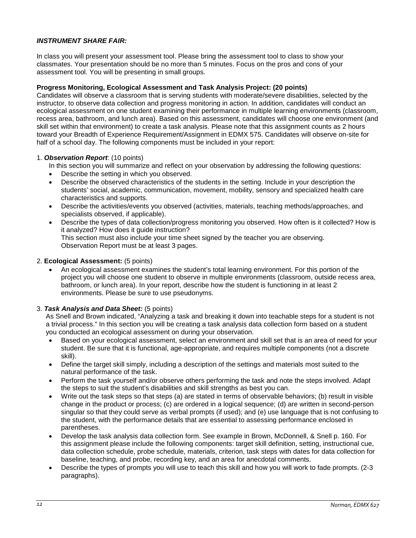### *INSTRUMENT SHARE FAIR:*

In class you will present your assessment tool. Please bring the assessment tool to class to show your classmates. Your presentation should be no more than 5 minutes. Focus on the pros and cons of your assessment tool. You will be presenting in small groups.

#### **Progress Monitoring, Ecological Assessment and Task Analysis Project: (20 points)**

Candidates will observe a classroom that is serving students with moderate/severe disabilities, selected by the instructor, to observe data collection and progress monitoring in action. In addition, candidates will conduct an ecological assessment on one student examining their performance in multiple learning environments (classroom, recess area, bathroom, and lunch area). Based on this assessment, candidates will choose one environment (and skill set within that environment) to create a task analysis. Please note that this assignment counts as 2 hours toward your Breadth of Experience Requirement/Assignment in EDMX 575. Candidates will observe on-site for half of a school day. The following components must be included in your report:

#### 1. *Observation Report*: (10 points)

- In this section you will summarize and reflect on your observation by addressing the following questions:
- Describe the setting in which you observed.
- Describe the observed characteristics of the students in the setting. Include in your description the students' social, academic, communication, movement, mobility, sensory and specialized health care characteristics and supports.
- Describe the activities/events you observed (activities, materials, teaching methods/approaches, and specialists observed, if applicable).
- Describe the types of data collection/progress monitoring you observed. How often is it collected? How is it analyzed? How does it guide instruction? This section must also include your time sheet signed by the teacher you are observing. Observation Report must be at least 3 pages.

#### 2. **Ecological Assessment:** (5 points)

• An ecological assessment examines the student's total learning environment. For this portion of the project you will choose one student to observe in multiple environments (classroom, outside recess area, bathroom, or lunch area). In your report, describe how the student is functioning in at least 2 environments. Please be sure to use pseudonyms.

#### 3. *Task Analysis and Data Sheet:* (5 points)

As Snell and Brown indicated, "Analyzing a task and breaking it down into teachable steps for a student is not a trivial process." In this section you will be creating a task analysis data collection form based on a student you conducted an ecological assessment on during your observation.

- Based on your ecological assessment, select an environment and skill set that is an area of need for your student. Be sure that it is functional, age-appropriate, and requires multiple components (not a discrete skill).
- Define the target skill simply, including a description of the settings and materials most suited to the natural performance of the task.
- Perform the task yourself and/or observe others performing the task and note the steps involved. Adapt the steps to suit the student's disabilities and skill strengths as best you can.
- Write out the task steps so that steps (a) are stated in terms of observable behaviors; (b) result in visible change in the product or process; (c) are ordered in a logical sequence; (d) are written in second-person singular so that they could serve as verbal prompts (if used); and (e) use language that is not confusing to the student, with the performance details that are essential to assessing performance enclosed in parentheses.
- Develop the task analysis data collection form. See example in Brown, McDonnell, & Snell p. 160. For this assignment please include the following components: target skill definition, setting, instructional cue, data collection schedule, probe schedule, materials, criterion, task steps with dates for data collection for baseline, teaching, and probe, recording key, and an area for anecdotal comments.
- Describe the types of prompts you will use to teach this skill and how you will work to fade prompts. (2-3 paragraphs).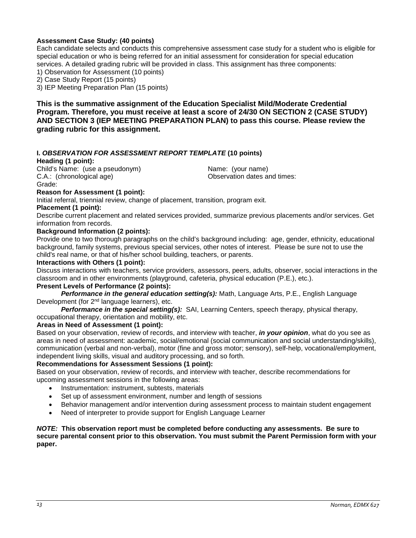### **Assessment Case Study: (40 points)**

Each candidate selects and conducts this comprehensive assessment case study for a student who is eligible for special education or who is being referred for an initial assessment for consideration for special education services. A detailed grading rubric will be provided in class. This assignment has three components:

1) Observation for Assessment (10 points)

2) Case Study Report (15 points)

3) IEP Meeting Preparation Plan (15 points)

**This is the summative assignment of the Education Specialist Mild/Moderate Credential Program. Therefore, you must receive at least a score of 24/30 ON SECTION 2 (CASE STUDY) AND SECTION 3 (IEP MEETING PREPARATION PLAN) to pass this course. Please review the grading rubric for this assignment.**

#### **I.** *OBSERVATION FOR ASSESSMENT REPORT TEMPLATE* **(10 points)**

#### **Heading (1 point):**

Child's Name: (use a pseudonym) (Child's Name: (your name)<br>C.A.: (chronological age) (C.A.: (chronological age) Grade:

Observation dates and times:

#### **Reason for Assessment (1 point):**

Initial referral, triennial review, change of placement, transition, program exit.

#### **Placement (1 point):**

Describe current placement and related services provided, summarize previous placements and/or services. Get information from records.

#### **Background Information (2 points):**

Provide one to two thorough paragraphs on the child's background including: age, gender, ethnicity, educational background, family systems, previous special services, other notes of interest. Please be sure not to use the child's real name, or that of his/her school building, teachers, or parents.

#### **Interactions with Others (1 point):**

Discuss interactions with teachers, service providers, assessors, peers, adults, observer, social interactions in the classroom and in other environments (playground, cafeteria, physical education (P.E.), etc.).

#### **Present Levels of Performance (2 points):**

*Performance in the general education setting(s):* Math, Language Arts, P.E., English Language Development (for 2nd language learners), etc.

*Performance in the special setting(s):* SAI, Learning Centers, speech therapy, physical therapy, occupational therapy, orientation and mobility, etc.

#### **Areas in Need of Assessment (1 point):**

Based on your observation, review of records, and interview with teacher, *in your opinion*, what do you see as areas in need of assessment: academic, social/emotional (social communication and social understanding/skills), communication (verbal and non-verbal), motor (fine and gross motor; sensory), self-help, vocational/employment, independent living skills, visual and auditory processing, and so forth.

#### **Recommendations for Assessment Sessions (1 point):**

Based on your observation, review of records, and interview with teacher, describe recommendations for upcoming assessment sessions in the following areas:

- Instrumentation: instrument, subtests, materials
- Set up of assessment environment, number and length of sessions
- Behavior management and/or intervention during assessment process to maintain student engagement
- Need of interpreter to provide support for English Language Learner

#### *NOTE:* **This observation report must be completed before conducting any assessments. Be sure to secure parental consent prior to this observation. You must submit the Parent Permission form with your paper.**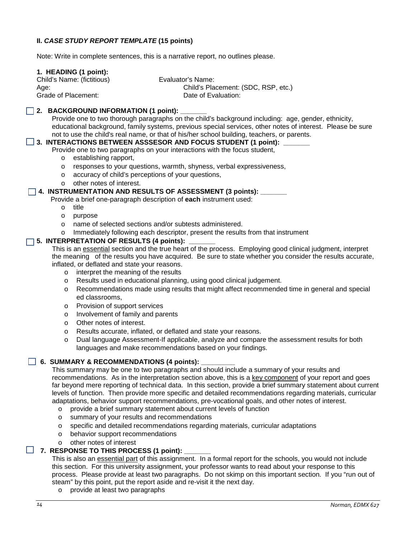# **II.** *CASE STUDY REPORT TEMPLATE* **(15 points)**

Note: Write in complete sentences, this is a narrative report, no outlines please.

#### **1. HEADING (1 point):**

Child's Name: (fictitious) Evaluator's Name:

Age: Child's Placement: (SDC, RSP, etc.) Grade of Placement: Case Controller Controller Date of Evaluation:

#### **2. BACKGROUND INFORMATION (1 point):**

Provide one to two thorough paragraphs on the child's background including: age, gender, ethnicity, educational background, family systems, previous special services, other notes of interest. Please be sure not to use the child's real name, or that of his/her school building, teachers, or parents.

#### **3. INTERACTIONS BETWEEN ASSSESOR AND FOCUS STUDENT (1 point):**

Provide one to two paragraphs on your interactions with the focus student,

- o establishing rapport,
- o responses to your questions, warmth, shyness, verbal expressiveness,
- o accuracy of child's perceptions of your questions,
- o other notes of interest.

#### **4. INSTRUMENTATION AND RESULTS OF ASSESSMENT (3 points): \_\_\_\_\_\_\_**

Provide a brief one-paragraph description of **each** instrument used:

- o title
- o purpose
- o name of selected sections and/or subtests administered.
- o Immediately following each descriptor, present the results from that instrument

#### **5. INTERPRETATION OF RESULTS (4 points):**

This is an essential section and the true heart of the process. Employing good clinical judgment, interpret the meaning of the results you have acquired. Be sure to state whether you consider the results accurate, inflated, or deflated and state your reasons.

- o interpret the meaning of the results
- o Results used in educational planning, using good clinical judgement.
- o Recommendations made using results that might affect recommended time in general and special ed classrooms,
- o Provision of support services
- o Involvement of family and parents
- o Other notes of interest.
- o Results accurate, inflated, or deflated and state your reasons.<br>O Dual language Assessment-If applicable, analyze and compar
- Dual language Assessment-If applicable, analyze and compare the assessment results for both languages and make recommendations based on your findings.

#### **6. SUMMARY & RECOMMENDATIONS (4 points):**

This summary may be one to two paragraphs and should include a summary of your results and recommendations. As in the interpretation section above, this is a key component of your report and goes far beyond mere reporting of technical data. In this section, provide a brief summary statement about current levels of function. Then provide more specific and detailed recommendations regarding materials, curricular adaptations, behavior support recommendations, pre-vocational goals, and other notes of interest.

- o provide a brief summary statement about current levels of function
- o summary of your results and recommendations
- o specific and detailed recommendations regarding materials, curricular adaptations
- o behavior support recommendations
- o other notes of interest

# **7. RESPONSE TO THIS PROCESS (1 point): \_\_\_\_\_\_\_**

This is also an essential part of this assignment. In a formal report for the schools, you would not include this section. For this university assignment, your professor wants to read about your response to this process. Please provide at least two paragraphs. Do not skimp on this important section. If you "run out of steam" by this point, put the report aside and re-visit it the next day.

o provide at least two paragraphs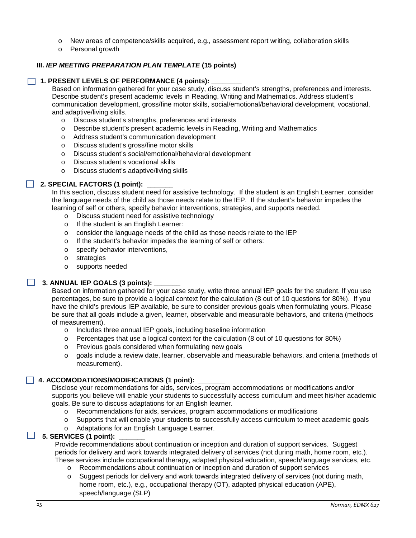- o New areas of competence/skills acquired, e.g., assessment report writing, collaboration skills
- o Personal growth

### **III.** *IEP MEETING PREPARATION PLAN TEMPLATE* **(15 points)**

#### **1. PRESENT LEVELS OF PERFORMANCE (4 points): \_\_\_\_\_\_\_\_**

Based on information gathered for your case study, discuss student's strengths, preferences and interests. Describe student's present academic levels in Reading, Writing and Mathematics. Address student's communication development, gross/fine motor skills, social/emotional/behavioral development, vocational, and adaptive/living skills.

- o Discuss student's strengths, preferences and interests
- o Describe student's present academic levels in Reading, Writing and Mathematics
- o Address student's communication development
- o Discuss student's gross/fine motor skills
- o Discuss student's social/emotional/behavioral development
- o Discuss student's vocational skills
- o Discuss student's adaptive/living skills

# **2. SPECIAL FACTORS (1 point):**

In this section, discuss student need for assistive technology. If the student is an English Learner, consider the language needs of the child as those needs relate to the IEP. If the student's behavior impedes the learning of self or others, specify behavior interventions, strategies, and supports needed.

- o Discuss student need for assistive technology
- o If the student is an English Learner:
- o consider the language needs of the child as those needs relate to the IEP
- o If the student's behavior impedes the learning of self or others:
- o specify behavior interventions,
- o strategies
- o supports needed

# 3. ANNUAL IEP GOALS (3 points):

Based on information gathered for your case study, write three annual IEP goals for the student. If you use percentages, be sure to provide a logical context for the calculation (8 out of 10 questions for 80%). If you have the child's previous IEP available, be sure to consider previous goals when formulating yours. Please be sure that all goals include a given, learner, observable and measurable behaviors, and criteria (methods of measurement).

- o Includes three annual IEP goals, including baseline information
- o Percentages that use a logical context for the calculation (8 out of 10 questions for 80%)
- o Previous goals considered when formulating new goals
- o goals include a review date, learner, observable and measurable behaviors, and criteria (methods of measurement).

# **4. ACCOMODATIONS/MODIFICATIONS (1 point): \_\_\_\_\_\_\_**

Disclose your recommendations for aids, services, program accommodations or modifications and/or supports you believe will enable your students to successfully access curriculum and meet his/her academic goals. Be sure to discuss adaptations for an English learner.

- o Recommendations for aids, services, program accommodations or modifications
- o Supports that will enable your students to successfully access curriculum to meet academic goals
- o Adaptations for an English Language Learner.

#### **5. SERVICES (1 point): \_\_\_\_\_\_\_**

Provide recommendations about continuation or inception and duration of support services. Suggest periods for delivery and work towards integrated delivery of services (not during math, home room, etc.). These services include occupational therapy, adapted physical education, speech/language services, etc.

- o Recommendations about continuation or inception and duration of support services
- o Suggest periods for delivery and work towards integrated delivery of services (not during math, home room, etc.), e.g., occupational therapy (OT), adapted physical education (APE), speech/language (SLP)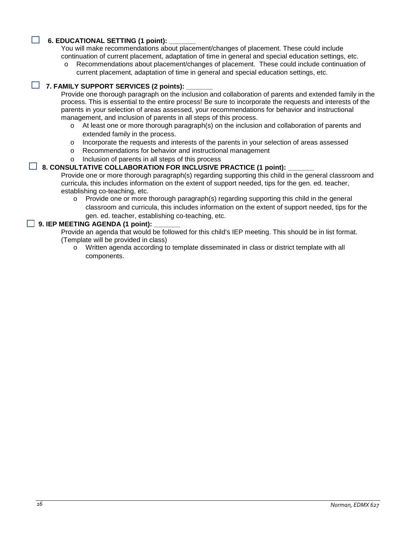#### **6. EDUCATIONAL SETTING (1 point):**

You will make recommendations about placement/changes of placement. These could include continuation of current placement, adaptation of time in general and special education settings, etc.

o Recommendations about placement/changes of placement. These could include continuation of current placement, adaptation of time in general and special education settings, etc.

# **7. FAMILY SUPPORT SERVICES (2 points): \_\_\_\_\_\_\_**

Provide one thorough paragraph on the inclusion and collaboration of parents and extended family in the process. This is essential to the entire process! Be sure to incorporate the requests and interests of the parents in your selection of areas assessed, your recommendations for behavior and instructional management, and inclusion of parents in all steps of this process.

- o At least one or more thorough paragraph(s) on the inclusion and collaboration of parents and extended family in the process.
- o Incorporate the requests and interests of the parents in your selection of areas assessed
- o Recommendations for behavior and instructional management
- o Inclusion of parents in all steps of this process

#### **Let 8. CONSULTATIVE COLLABORATION FOR INCLUSIVE PRACTICE (1 point):**

Provide one or more thorough paragraph(s) regarding supporting this child in the general classroom and curricula, this includes information on the extent of support needed, tips for the gen. ed. teacher, establishing co-teaching, etc.

 $\circ$  Provide one or more thorough paragraph(s) regarding supporting this child in the general classroom and curricula, this includes information on the extent of support needed, tips for the gen. ed. teacher, establishing co-teaching, etc.

#### **9. IEP MEETING AGENDA (1 point):**

Provide an agenda that would be followed for this child's IEP meeting. This should be in list format. (Template will be provided in class)

o Written agenda according to template disseminated in class or district template with all components.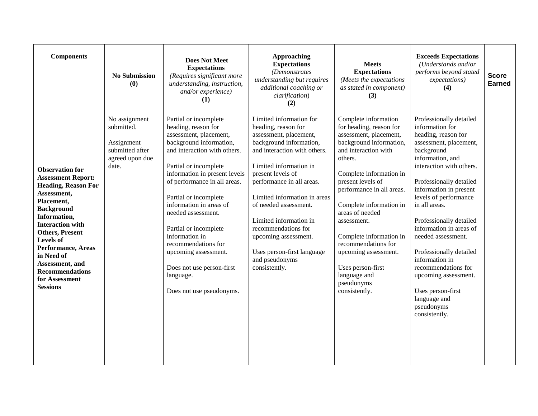| <b>Components</b>                                                                                                                                                                                                                                                                                                                                  | <b>No Submission</b><br>(0)                                                                                  | <b>Does Not Meet</b><br><b>Expectations</b><br>(Requires significant more<br>understanding, instruction,<br>and/or experience)<br>(1)                                                                                                                                                                                                                                                                                                                                 | <b>Approaching</b><br><b>Expectations</b><br>(Demonstrates)<br>understanding but requires<br>additional coaching or<br>clarification)<br>(2)                                                                                                                                                                                                                                                                       | <b>Meets</b><br><b>Expectations</b><br>(Meets the expectations<br>as stated in component)<br>(3)                                                                                                                                                                                                                                                                                                                                | <b>Exceeds Expectations</b><br>(Understands and/or<br>performs beyond stated<br>expectations)<br>(4)                                                                                                                                                                                                                                                                                                                                                                                                 | <b>Score</b><br><b>Earned</b> |
|----------------------------------------------------------------------------------------------------------------------------------------------------------------------------------------------------------------------------------------------------------------------------------------------------------------------------------------------------|--------------------------------------------------------------------------------------------------------------|-----------------------------------------------------------------------------------------------------------------------------------------------------------------------------------------------------------------------------------------------------------------------------------------------------------------------------------------------------------------------------------------------------------------------------------------------------------------------|--------------------------------------------------------------------------------------------------------------------------------------------------------------------------------------------------------------------------------------------------------------------------------------------------------------------------------------------------------------------------------------------------------------------|---------------------------------------------------------------------------------------------------------------------------------------------------------------------------------------------------------------------------------------------------------------------------------------------------------------------------------------------------------------------------------------------------------------------------------|------------------------------------------------------------------------------------------------------------------------------------------------------------------------------------------------------------------------------------------------------------------------------------------------------------------------------------------------------------------------------------------------------------------------------------------------------------------------------------------------------|-------------------------------|
| <b>Observation for</b><br><b>Assessment Report:</b><br><b>Heading, Reason For</b><br>Assessment,<br>Placement,<br><b>Background</b><br>Information,<br><b>Interaction with</b><br><b>Others, Present</b><br>Levels of<br><b>Performance, Areas</b><br>in Need of<br>Assessment, and<br><b>Recommendations</b><br>for Assessment<br><b>Sessions</b> | $\overline{\text{No}}$ assignment<br>submitted.<br>Assignment<br>submitted after<br>agreed upon due<br>date. | Partial or incomplete<br>heading, reason for<br>assessment, placement,<br>background information,<br>and interaction with others.<br>Partial or incomplete<br>information in present levels<br>of performance in all areas.<br>Partial or incomplete<br>information in areas of<br>needed assessment.<br>Partial or incomplete<br>information in<br>recommendations for<br>upcoming assessment.<br>Does not use person-first<br>language.<br>Does not use pseudonyms. | Limited information for<br>heading, reason for<br>assessment, placement,<br>background information,<br>and interaction with others.<br>Limited information in<br>present levels of<br>performance in all areas.<br>Limited information in areas<br>of needed assessment.<br>Limited information in<br>recommendations for<br>upcoming assessment.<br>Uses person-first language<br>and pseudonyms<br>consistently. | Complete information<br>for heading, reason for<br>assessment, placement,<br>background information,<br>and interaction with<br>others.<br>Complete information in<br>present levels of<br>performance in all areas.<br>Complete information in<br>areas of needed<br>assessment.<br>Complete information in<br>recommendations for<br>upcoming assessment.<br>Uses person-first<br>language and<br>pseudonyms<br>consistently. | Professionally detailed<br>information for<br>heading, reason for<br>assessment, placement,<br>background<br>information, and<br>interaction with others.<br>Professionally detailed<br>information in present<br>levels of performance<br>in all areas.<br>Professionally detailed<br>information in areas of<br>needed assessment.<br>Professionally detailed<br>information in<br>recommendations for<br>upcoming assessment.<br>Uses person-first<br>language and<br>pseudonyms<br>consistently. |                               |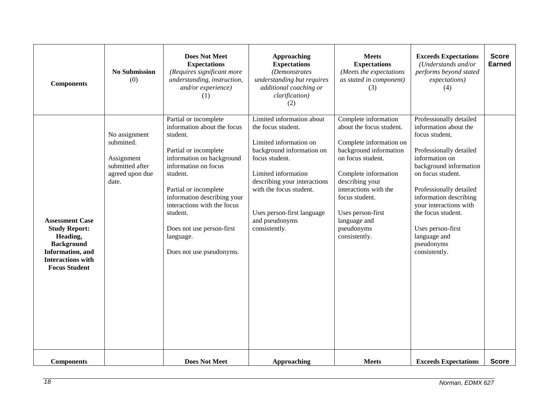| <b>Components</b>                                                                                                                                       | <b>No Submission</b><br>(0)                                                              | <b>Does Not Meet</b><br><b>Expectations</b><br>(Requires significant more<br>understanding, instruction,<br>and/or experience)<br>(1)                                                                                                                                                                                               | <b>Approaching</b><br><b>Expectations</b><br>(Demonstrates<br>understanding but requires<br>additional coaching or<br>clarification)<br>(2)                                                                                                                                 | <b>Meets</b><br><b>Expectations</b><br>(Meets the expectations<br>as stated in component)<br>(3)                                                                                                                                                                                     | <b>Exceeds Expectations</b><br>(Understands and/or<br>performs beyond stated<br>expectations)<br>(4)                                                                                                                                                                                                                                    | <b>Score</b><br><b>Earned</b> |
|---------------------------------------------------------------------------------------------------------------------------------------------------------|------------------------------------------------------------------------------------------|-------------------------------------------------------------------------------------------------------------------------------------------------------------------------------------------------------------------------------------------------------------------------------------------------------------------------------------|-----------------------------------------------------------------------------------------------------------------------------------------------------------------------------------------------------------------------------------------------------------------------------|--------------------------------------------------------------------------------------------------------------------------------------------------------------------------------------------------------------------------------------------------------------------------------------|-----------------------------------------------------------------------------------------------------------------------------------------------------------------------------------------------------------------------------------------------------------------------------------------------------------------------------------------|-------------------------------|
| <b>Assessment Case</b><br><b>Study Report:</b><br>Heading,<br><b>Background</b><br>Information, and<br><b>Interactions with</b><br><b>Focus Student</b> | No assignment<br>submitted.<br>Assignment<br>submitted after<br>agreed upon due<br>date. | Partial or incomplete<br>information about the focus<br>student.<br>Partial or incomplete<br>information on background<br>information on focus<br>student.<br>Partial or incomplete<br>information describing your<br>interactions with the focus<br>student.<br>Does not use person-first<br>language.<br>Does not use pseudonyms. | Limited information about<br>the focus student.<br>Limited information on<br>background information on<br>focus student.<br>Limited information<br>describing your interactions<br>with the focus student.<br>Uses person-first language<br>and pseudonyms<br>consistently. | Complete information<br>about the focus student.<br>Complete information on<br>background information<br>on focus student.<br>Complete information<br>describing your<br>interactions with the<br>focus student.<br>Uses person-first<br>language and<br>pseudonyms<br>consistently. | Professionally detailed<br>information about the<br>focus student.<br>Professionally detailed<br>information on<br>background information<br>on focus student.<br>Professionally detailed<br>information describing<br>your interactions with<br>the focus student.<br>Uses person-first<br>language and<br>pseudonyms<br>consistently. |                               |
| <b>Components</b>                                                                                                                                       |                                                                                          | <b>Does Not Meet</b>                                                                                                                                                                                                                                                                                                                | <b>Approaching</b>                                                                                                                                                                                                                                                          | <b>Meets</b>                                                                                                                                                                                                                                                                         | <b>Exceeds Expectations</b>                                                                                                                                                                                                                                                                                                             | <b>Score</b>                  |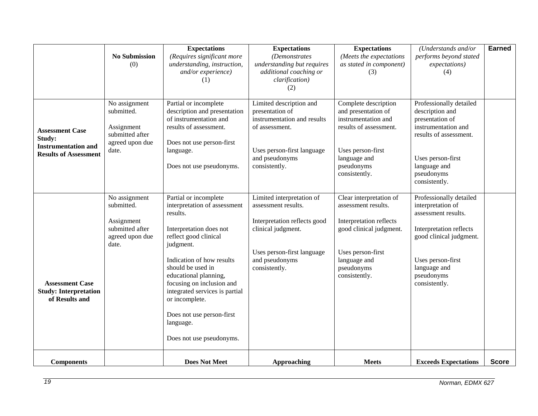|                                                                                                | <b>No Submission</b><br>(0)                                                              | <b>Expectations</b><br>(Requires significant more<br>understanding, instruction,<br>and/or experience)<br>(1)                                                                                                                                                                                                                                                        | <b>Expectations</b><br>(Demonstrates<br>understanding but requires<br>additional coaching or<br>clarification)<br>(2)                                                   | <b>Expectations</b><br>(Meets the expectations<br>as stated in component)<br>(3)                                                                                         | (Understands and/or<br>performs beyond stated<br>expectations)<br>(4)                                                                                                                         | <b>Earned</b> |
|------------------------------------------------------------------------------------------------|------------------------------------------------------------------------------------------|----------------------------------------------------------------------------------------------------------------------------------------------------------------------------------------------------------------------------------------------------------------------------------------------------------------------------------------------------------------------|-------------------------------------------------------------------------------------------------------------------------------------------------------------------------|--------------------------------------------------------------------------------------------------------------------------------------------------------------------------|-----------------------------------------------------------------------------------------------------------------------------------------------------------------------------------------------|---------------|
| <b>Assessment Case</b><br>Study:<br><b>Instrumentation and</b><br><b>Results of Assessment</b> | No assignment<br>submitted.<br>Assignment<br>submitted after<br>agreed upon due<br>date. | Partial or incomplete<br>description and presentation<br>of instrumentation and<br>results of assessment.<br>Does not use person-first<br>language.<br>Does not use pseudonyms.                                                                                                                                                                                      | Limited description and<br>presentation of<br>instrumentation and results<br>of assessment.<br>Uses person-first language<br>and pseudonyms<br>consistently.            | Complete description<br>and presentation of<br>instrumentation and<br>results of assessment.<br>Uses person-first<br>language and<br>pseudonyms<br>consistently.         | Professionally detailed<br>description and<br>presentation of<br>instrumentation and<br>results of assessment.<br>Uses person-first<br>language and<br>pseudonyms<br>consistently.            |               |
| <b>Assessment Case</b><br><b>Study: Interpretation</b><br>of Results and                       | No assignment<br>submitted.<br>Assignment<br>submitted after<br>agreed upon due<br>date. | Partial or incomplete<br>interpretation of assessment<br>results.<br>Interpretation does not<br>reflect good clinical<br>judgment.<br>Indication of how results<br>should be used in<br>educational planning,<br>focusing on inclusion and<br>integrated services is partial<br>or incomplete.<br>Does not use person-first<br>language.<br>Does not use pseudonyms. | Limited interpretation of<br>assessment results.<br>Interpretation reflects good<br>clinical judgment.<br>Uses person-first language<br>and pseudonyms<br>consistently. | Clear interpretation of<br>assessment results.<br>Interpretation reflects<br>good clinical judgment.<br>Uses person-first<br>language and<br>pseudonyms<br>consistently. | Professionally detailed<br>interpretation of<br>assessment results.<br>Interpretation reflects<br>good clinical judgment.<br>Uses person-first<br>language and<br>pseudonyms<br>consistently. |               |
| <b>Components</b>                                                                              |                                                                                          | <b>Does Not Meet</b>                                                                                                                                                                                                                                                                                                                                                 | <b>Approaching</b>                                                                                                                                                      | <b>Meets</b>                                                                                                                                                             | <b>Exceeds Expectations</b>                                                                                                                                                                   | <b>Score</b>  |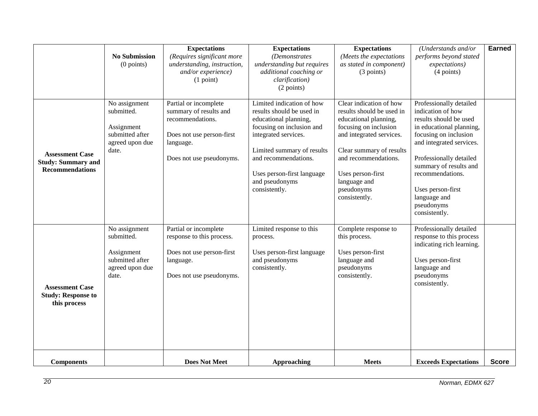|                                                                               | <b>No Submission</b><br>$(0$ points)                                                     | <b>Expectations</b><br>(Requires significant more<br>understanding, instruction,<br>and/or experience)<br>(1 point)                       | <b>Expectations</b><br>(Demonstrates<br>understanding but requires<br>additional coaching or<br>clarification)<br>(2 points)                                                                                                                                | <b>Expectations</b><br>(Meets the expectations<br>as stated in component)<br>(3 points)                                                                                                                                                                    | (Understands and/or<br>performs beyond stated<br>expectations)<br>(4 points)                                                                                                                                                                                                                         | <b>Earned</b> |
|-------------------------------------------------------------------------------|------------------------------------------------------------------------------------------|-------------------------------------------------------------------------------------------------------------------------------------------|-------------------------------------------------------------------------------------------------------------------------------------------------------------------------------------------------------------------------------------------------------------|------------------------------------------------------------------------------------------------------------------------------------------------------------------------------------------------------------------------------------------------------------|------------------------------------------------------------------------------------------------------------------------------------------------------------------------------------------------------------------------------------------------------------------------------------------------------|---------------|
| <b>Assessment Case</b><br><b>Study: Summary and</b><br><b>Recommendations</b> | No assignment<br>submitted.<br>Assignment<br>submitted after<br>agreed upon due<br>date. | Partial or incomplete<br>summary of results and<br>recommendations.<br>Does not use person-first<br>language.<br>Does not use pseudonyms. | Limited indication of how<br>results should be used in<br>educational planning,<br>focusing on inclusion and<br>integrated services.<br>Limited summary of results<br>and recommendations.<br>Uses person-first language<br>and pseudonyms<br>consistently. | Clear indication of how<br>results should be used in<br>educational planning,<br>focusing on inclusion<br>and integrated services.<br>Clear summary of results<br>and recommendations.<br>Uses person-first<br>language and<br>pseudonyms<br>consistently. | Professionally detailed<br>indication of how<br>results should be used<br>in educational planning,<br>focusing on inclusion<br>and integrated services.<br>Professionally detailed<br>summary of results and<br>recommendations.<br>Uses person-first<br>language and<br>pseudonyms<br>consistently. |               |
| <b>Assessment Case</b><br><b>Study: Response to</b><br>this process           | No assignment<br>submitted.<br>Assignment<br>submitted after<br>agreed upon due<br>date. | Partial or incomplete<br>response to this process.<br>Does not use person-first<br>language.<br>Does not use pseudonyms.                  | Limited response to this<br>process.<br>Uses person-first language<br>and pseudonyms<br>consistently.                                                                                                                                                       | Complete response to<br>this process.<br>Uses person-first<br>language and<br>pseudonyms<br>consistently.                                                                                                                                                  | Professionally detailed<br>response to this process<br>indicating rich learning.<br>Uses person-first<br>language and<br>pseudonyms<br>consistently.                                                                                                                                                 |               |
| <b>Components</b>                                                             |                                                                                          | <b>Does Not Meet</b>                                                                                                                      | <b>Approaching</b>                                                                                                                                                                                                                                          | <b>Meets</b>                                                                                                                                                                                                                                               | <b>Exceeds Expectations</b>                                                                                                                                                                                                                                                                          | <b>Score</b>  |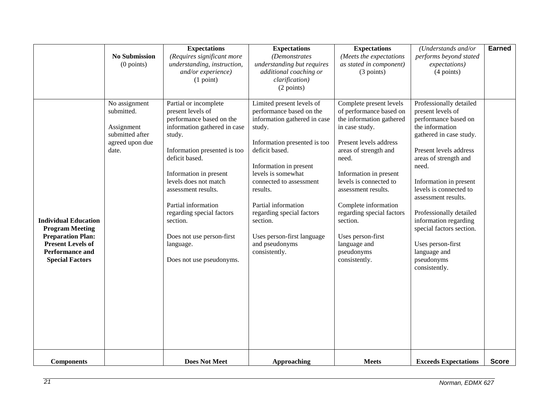|                                                                                                                                                                   | <b>No Submission</b><br>$(0$ points)                                                     | <b>Expectations</b><br>(Requires significant more<br>understanding, instruction,<br>and/or experience)<br>(1 point)                                                                                                                                                                                                                                                                | <b>Expectations</b><br>(Demonstrates<br>understanding but requires<br>additional coaching or<br>clarification)<br>(2 points)                                                                                                                                                                                                                                              | <b>Expectations</b><br>(Meets the expectations<br>as stated in component)<br>(3 points)                                                                                                                                                                                                                                                                                      | (Understands and/or<br>performs beyond stated<br>expectations)<br>$(4$ points)                                                                                                                                                                                                                                                                                                                                | <b>Earned</b> |
|-------------------------------------------------------------------------------------------------------------------------------------------------------------------|------------------------------------------------------------------------------------------|------------------------------------------------------------------------------------------------------------------------------------------------------------------------------------------------------------------------------------------------------------------------------------------------------------------------------------------------------------------------------------|---------------------------------------------------------------------------------------------------------------------------------------------------------------------------------------------------------------------------------------------------------------------------------------------------------------------------------------------------------------------------|------------------------------------------------------------------------------------------------------------------------------------------------------------------------------------------------------------------------------------------------------------------------------------------------------------------------------------------------------------------------------|---------------------------------------------------------------------------------------------------------------------------------------------------------------------------------------------------------------------------------------------------------------------------------------------------------------------------------------------------------------------------------------------------------------|---------------|
| <b>Individual Education</b><br><b>Program Meeting</b><br><b>Preparation Plan:</b><br><b>Present Levels of</b><br><b>Performance and</b><br><b>Special Factors</b> | No assignment<br>submitted.<br>Assignment<br>submitted after<br>agreed upon due<br>date. | Partial or incomplete<br>present levels of<br>performance based on the<br>information gathered in case<br>study.<br>Information presented is too<br>deficit based.<br>Information in present<br>levels does not match<br>assessment results.<br>Partial information<br>regarding special factors<br>section.<br>Does not use person-first<br>language.<br>Does not use pseudonyms. | Limited present levels of<br>performance based on the<br>information gathered in case<br>study.<br>Information presented is too<br>deficit based.<br>Information in present<br>levels is somewhat<br>connected to assessment<br>results.<br>Partial information<br>regarding special factors<br>section.<br>Uses person-first language<br>and pseudonyms<br>consistently. | Complete present levels<br>of performance based on<br>the information gathered<br>in case study.<br>Present levels address<br>areas of strength and<br>need.<br>Information in present<br>levels is connected to<br>assessment results.<br>Complete information<br>regarding special factors<br>section.<br>Uses person-first<br>language and<br>pseudonyms<br>consistently. | Professionally detailed<br>present levels of<br>performance based on<br>the information<br>gathered in case study.<br>Present levels address<br>areas of strength and<br>need.<br>Information in present<br>levels is connected to<br>assessment results.<br>Professionally detailed<br>information regarding<br>special factors section.<br>Uses person-first<br>language and<br>pseudonyms<br>consistently. |               |
| <b>Components</b>                                                                                                                                                 |                                                                                          | <b>Does Not Meet</b>                                                                                                                                                                                                                                                                                                                                                               | <b>Approaching</b>                                                                                                                                                                                                                                                                                                                                                        | <b>Meets</b>                                                                                                                                                                                                                                                                                                                                                                 | <b>Exceeds Expectations</b>                                                                                                                                                                                                                                                                                                                                                                                   | <b>Score</b>  |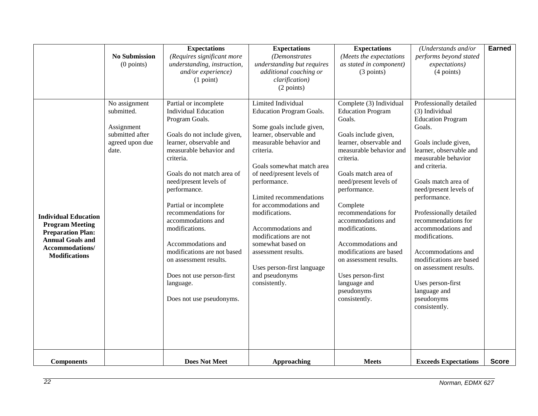|                                                                                                                                                         | <b>No Submission</b><br>$(0$ points)                                                     | <b>Expectations</b><br>(Requires significant more<br>understanding, instruction,<br>and/or experience)<br>(1 point)                                                                                                                                                                                                                                                                                                                                                                           | <b>Expectations</b><br>(Demonstrates<br>understanding but requires<br>additional coaching or<br>clarification)<br>(2 points)                                                                                                                                                                                                                                                                                                                                       | <b>Expectations</b><br>(Meets the expectations<br>as stated in component)<br>(3 points)                                                                                                                                                                                                                                                                                                                                                             | (Understands and/or<br>performs beyond stated<br>expectations)<br>(4 points)                                                                                                                                                                                                                                                                                                                                                                                                         | <b>Earned</b> |
|---------------------------------------------------------------------------------------------------------------------------------------------------------|------------------------------------------------------------------------------------------|-----------------------------------------------------------------------------------------------------------------------------------------------------------------------------------------------------------------------------------------------------------------------------------------------------------------------------------------------------------------------------------------------------------------------------------------------------------------------------------------------|--------------------------------------------------------------------------------------------------------------------------------------------------------------------------------------------------------------------------------------------------------------------------------------------------------------------------------------------------------------------------------------------------------------------------------------------------------------------|-----------------------------------------------------------------------------------------------------------------------------------------------------------------------------------------------------------------------------------------------------------------------------------------------------------------------------------------------------------------------------------------------------------------------------------------------------|--------------------------------------------------------------------------------------------------------------------------------------------------------------------------------------------------------------------------------------------------------------------------------------------------------------------------------------------------------------------------------------------------------------------------------------------------------------------------------------|---------------|
| <b>Individual Education</b><br><b>Program Meeting</b><br><b>Preparation Plan:</b><br><b>Annual Goals and</b><br>Accommodations/<br><b>Modifications</b> | No assignment<br>submitted.<br>Assignment<br>submitted after<br>agreed upon due<br>date. | Partial or incomplete<br><b>Individual Education</b><br>Program Goals.<br>Goals do not include given,<br>learner, observable and<br>measurable behavior and<br>criteria.<br>Goals do not match area of<br>need/present levels of<br>performance.<br>Partial or incomplete<br>recommendations for<br>accommodations and<br>modifications.<br>Accommodations and<br>modifications are not based<br>on assessment results.<br>Does not use person-first<br>language.<br>Does not use pseudonyms. | Limited Individual<br><b>Education Program Goals.</b><br>Some goals include given,<br>learner, observable and<br>measurable behavior and<br>criteria.<br>Goals somewhat match area<br>of need/present levels of<br>performance.<br>Limited recommendations<br>for accommodations and<br>modifications.<br>Accommodations and<br>modifications are not<br>somewhat based on<br>assessment results.<br>Uses person-first language<br>and pseudonyms<br>consistently. | Complete (3) Individual<br><b>Education Program</b><br>Goals.<br>Goals include given,<br>learner, observable and<br>measurable behavior and<br>criteria.<br>Goals match area of<br>need/present levels of<br>performance.<br>Complete<br>recommendations for<br>accommodations and<br>modifications.<br>Accommodations and<br>modifications are based<br>on assessment results.<br>Uses person-first<br>language and<br>pseudonyms<br>consistently. | Professionally detailed<br>(3) Individual<br><b>Education Program</b><br>Goals.<br>Goals include given,<br>learner, observable and<br>measurable behavior<br>and criteria.<br>Goals match area of<br>need/present levels of<br>performance.<br>Professionally detailed<br>recommendations for<br>accommodations and<br>modifications.<br>Accommodations and<br>modifications are based<br>on assessment results.<br>Uses person-first<br>language and<br>pseudonyms<br>consistently. |               |
| <b>Components</b>                                                                                                                                       |                                                                                          | <b>Does Not Meet</b>                                                                                                                                                                                                                                                                                                                                                                                                                                                                          | <b>Approaching</b>                                                                                                                                                                                                                                                                                                                                                                                                                                                 | <b>Meets</b>                                                                                                                                                                                                                                                                                                                                                                                                                                        | <b>Exceeds Expectations</b>                                                                                                                                                                                                                                                                                                                                                                                                                                                          | <b>Score</b>  |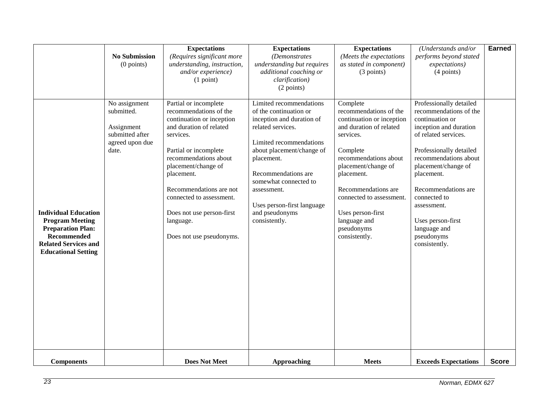|                                                                                                                                                                      | <b>No Submission</b><br>$(0$ points)                                                     | <b>Expectations</b><br>(Requires significant more<br>understanding, instruction,<br>and/or experience)<br>(1 point)                                                                                                                                                                                                                      | <b>Expectations</b><br>(Demonstrates<br>understanding but requires<br>additional coaching or<br>clarification)<br>(2 points)                                                                                                                                                                              | <b>Expectations</b><br>(Meets the expectations<br>as stated in component)<br>(3 points)                                                                                                                                                                                                                  | (Understands and/or<br>performs beyond stated<br>expectations)<br>(4 points)                                                                                                                                                                                                                                                              | <b>Earned</b> |
|----------------------------------------------------------------------------------------------------------------------------------------------------------------------|------------------------------------------------------------------------------------------|------------------------------------------------------------------------------------------------------------------------------------------------------------------------------------------------------------------------------------------------------------------------------------------------------------------------------------------|-----------------------------------------------------------------------------------------------------------------------------------------------------------------------------------------------------------------------------------------------------------------------------------------------------------|----------------------------------------------------------------------------------------------------------------------------------------------------------------------------------------------------------------------------------------------------------------------------------------------------------|-------------------------------------------------------------------------------------------------------------------------------------------------------------------------------------------------------------------------------------------------------------------------------------------------------------------------------------------|---------------|
| <b>Individual Education</b><br><b>Program Meeting</b><br><b>Preparation Plan:</b><br><b>Recommended</b><br><b>Related Services and</b><br><b>Educational Setting</b> | No assignment<br>submitted.<br>Assignment<br>submitted after<br>agreed upon due<br>date. | Partial or incomplete<br>recommendations of the<br>continuation or inception<br>and duration of related<br>services.<br>Partial or incomplete<br>recommendations about<br>placement/change of<br>placement.<br>Recommendations are not<br>connected to assessment.<br>Does not use person-first<br>language.<br>Does not use pseudonyms. | Limited recommendations<br>of the continuation or<br>inception and duration of<br>related services.<br>Limited recommendations<br>about placement/change of<br>placement.<br>Recommendations are<br>somewhat connected to<br>assessment.<br>Uses person-first language<br>and pseudonyms<br>consistently. | Complete<br>recommendations of the<br>continuation or inception<br>and duration of related<br>services.<br>Complete<br>recommendations about<br>placement/change of<br>placement.<br>Recommendations are<br>connected to assessment.<br>Uses person-first<br>language and<br>pseudonyms<br>consistently. | Professionally detailed<br>recommendations of the<br>continuation or<br>inception and duration<br>of related services.<br>Professionally detailed<br>recommendations about<br>placement/change of<br>placement.<br>Recommendations are<br>connected to<br>assessment.<br>Uses person-first<br>language and<br>pseudonyms<br>consistently. |               |
| <b>Components</b>                                                                                                                                                    |                                                                                          | <b>Does Not Meet</b>                                                                                                                                                                                                                                                                                                                     | <b>Approaching</b>                                                                                                                                                                                                                                                                                        | <b>Meets</b>                                                                                                                                                                                                                                                                                             | <b>Exceeds Expectations</b>                                                                                                                                                                                                                                                                                                               | <b>Score</b>  |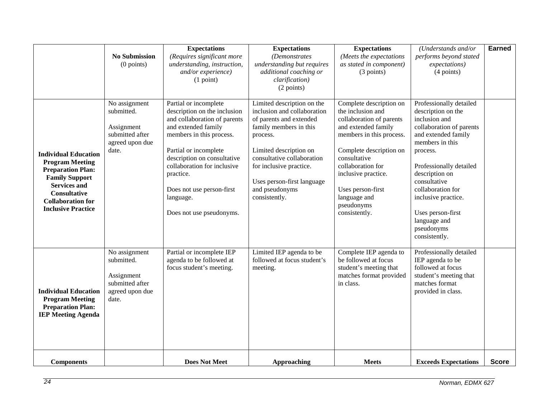|                                                                                                                                                                                                                   | <b>No Submission</b><br>$(0$ points)                                                     | <b>Expectations</b><br>(Requires significant more<br>understanding, instruction,<br>and/or experience)<br>(1 point)                                                                                                                                                                                                | <b>Expectations</b><br>(Demonstrates<br>understanding but requires<br>additional coaching or<br>clarification)<br>(2 points)                                                                                                                                                   | <b>Expectations</b><br>(Meets the expectations<br>as stated in component)<br>(3 points)                                                                                                                                                                                                | (Understands and/or<br>performs beyond stated<br>expectations)<br>(4 points)                                                                                                                                                                                                                                                  | <b>Earned</b> |
|-------------------------------------------------------------------------------------------------------------------------------------------------------------------------------------------------------------------|------------------------------------------------------------------------------------------|--------------------------------------------------------------------------------------------------------------------------------------------------------------------------------------------------------------------------------------------------------------------------------------------------------------------|--------------------------------------------------------------------------------------------------------------------------------------------------------------------------------------------------------------------------------------------------------------------------------|----------------------------------------------------------------------------------------------------------------------------------------------------------------------------------------------------------------------------------------------------------------------------------------|-------------------------------------------------------------------------------------------------------------------------------------------------------------------------------------------------------------------------------------------------------------------------------------------------------------------------------|---------------|
| <b>Individual Education</b><br><b>Program Meeting</b><br><b>Preparation Plan:</b><br><b>Family Support</b><br><b>Services and</b><br><b>Consultative</b><br><b>Collaboration for</b><br><b>Inclusive Practice</b> | No assignment<br>submitted.<br>Assignment<br>submitted after<br>agreed upon due<br>date. | Partial or incomplete<br>description on the inclusion<br>and collaboration of parents<br>and extended family<br>members in this process.<br>Partial or incomplete<br>description on consultative<br>collaboration for inclusive<br>practice.<br>Does not use person-first<br>language.<br>Does not use pseudonyms. | Limited description on the<br>inclusion and collaboration<br>of parents and extended<br>family members in this<br>process.<br>Limited description on<br>consultative collaboration<br>for inclusive practice.<br>Uses person-first language<br>and pseudonyms<br>consistently. | Complete description on<br>the inclusion and<br>collaboration of parents<br>and extended family<br>members in this process.<br>Complete description on<br>consultative<br>collaboration for<br>inclusive practice.<br>Uses person-first<br>language and<br>pseudonyms<br>consistently. | Professionally detailed<br>description on the<br>inclusion and<br>collaboration of parents<br>and extended family<br>members in this<br>process.<br>Professionally detailed<br>description on<br>consultative<br>collaboration for<br>inclusive practice.<br>Uses person-first<br>language and<br>pseudonyms<br>consistently. |               |
| <b>Individual Education</b><br><b>Program Meeting</b><br><b>Preparation Plan:</b><br><b>IEP Meeting Agenda</b>                                                                                                    | No assignment<br>submitted.<br>Assignment<br>submitted after<br>agreed upon due<br>date. | Partial or incomplete IEP<br>agenda to be followed at<br>focus student's meeting.                                                                                                                                                                                                                                  | Limited IEP agenda to be<br>followed at focus student's<br>meeting.                                                                                                                                                                                                            | Complete IEP agenda to<br>be followed at focus<br>student's meeting that<br>matches format provided<br>in class.                                                                                                                                                                       | Professionally detailed<br>IEP agenda to be<br>followed at focus<br>student's meeting that<br>matches format<br>provided in class.                                                                                                                                                                                            |               |
| <b>Components</b>                                                                                                                                                                                                 |                                                                                          | <b>Does Not Meet</b>                                                                                                                                                                                                                                                                                               | <b>Approaching</b>                                                                                                                                                                                                                                                             | <b>Meets</b>                                                                                                                                                                                                                                                                           | <b>Exceeds Expectations</b>                                                                                                                                                                                                                                                                                                   | <b>Score</b>  |